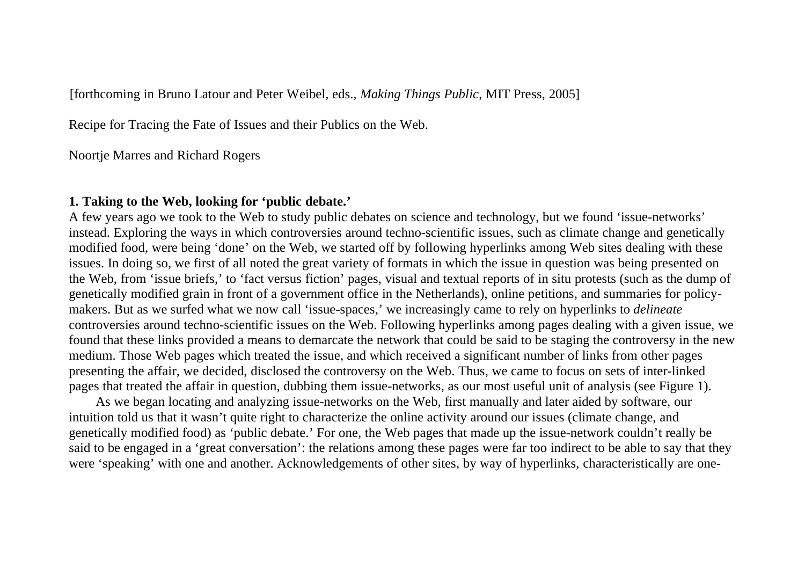[forthcoming in Bruno Latour and Peter Weibel, eds., *Making Things Public*, MIT Press, 2005]

Recipe for Tracing the Fate of Issues and their Publics on the Web.

Noortje Marres and Richard Rogers

### **1. Taking to the Web, looking for 'public debate.'**

A few years ago we took to the Web to study public debates on science and technology, but we found 'issue-networks' instead. Exploring the ways in which controversies around techno-scientific issues, such as climate change and genetically modified food, were being 'done' on the Web, we started off by following hyperlinks among Web sites dealing with these issues. In doing so, we first of all noted the great variety of formats in which the issue in question was being presented on the Web, from 'issue briefs,' to 'fact versus fiction' pages, visual and textual reports of in situ protests (such as the dump of genetically modified grain in front of a government office in the Netherlands), online petitions, and summaries for policymakers. But as we surfed what we now call 'issue-spaces,' we increasingly came to rely on hyperlinks to *delineate*  controversies around techno-scientific issues on the Web. Following hyperlinks among pages dealing with a given issue, we found that these links provided a means to demarcate the network that could be said to be staging the controversy in the new medium. Those Web pages which treated the issue, and which received a significant number of links from other pages presenting the affair, we decided, disclosed the controversy on the Web. Thus, we came to focus on sets of inter-linked pages that treated the affair in question, dubbing them issue-networks, as our most useful unit of analysis (see Figure 1).

 As we began locating and analyzing issue-networks on the Web, first manually and later aided by software, our intuition told us that it wasn't quite right to characterize the online activity around our issues (climate change, and genetically modified food) as 'public debate.' For one, the Web pages that made up the issue-network couldn't really be said to be engaged in a 'great conversation': the relations among these pages were far too indirect to be able to say that they were 'speaking' with one and another. Acknowledgements of other sites, by way of hyperlinks, characteristically are one-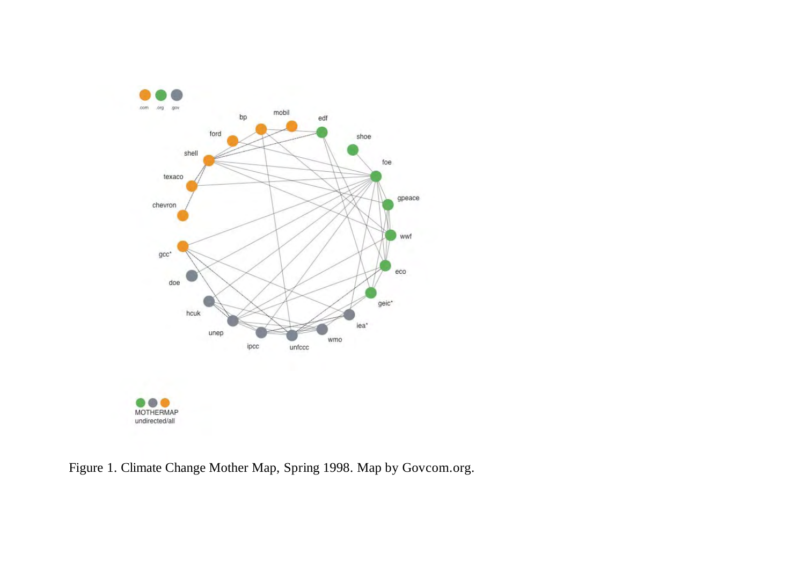

Figure 1. Climate Change Mother Map, Spring 1998. Map by Govcom.org.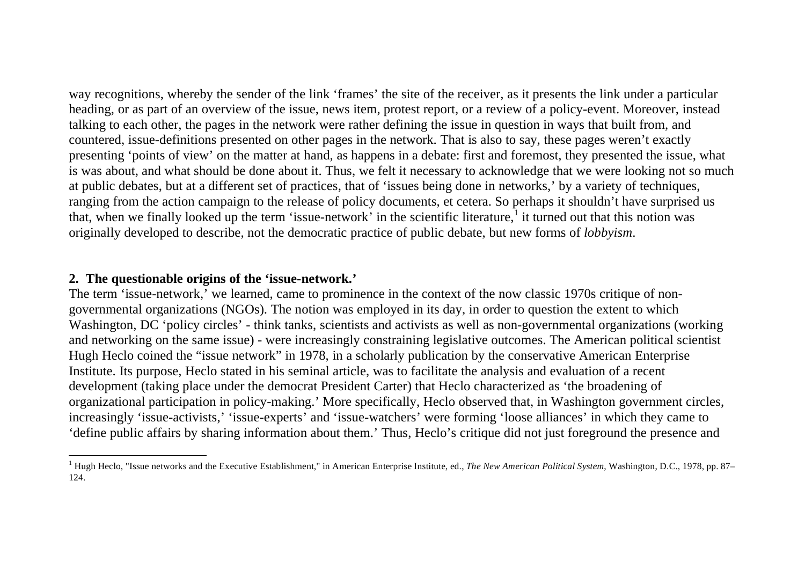way recognitions, whereby the sender of the link 'frames' the site of the receiver, as it presents the link under a particular heading, or as part of an overview of the issue, news item, protest report, or a review of a policy-event. Moreover, instead talking to each other, the pages in the network were rather defining the issue in question in ways that built from, and countered, issue-definitions presented on other pages in the network. That is also to say, these pages weren't exactly presenting 'points of view' on the matter at hand, as happens in a debate: first and foremost, they presented the issue, what is was about, and what should be done about it. Thus, we felt it necessary to acknowledge that we were looking not so much at public debates, but at a different set of practices, that of 'issues being done in networks,' by a variety of techniques, ranging from the action campaign to the release of policy documents, et cetera. So perhaps it shouldn't have surprised us that, when we finally looked up the term 'issue-network' in the scientific literature, it turned out that this notion was originally developed to describe, not the democratic practice of public debate, but new forms of *lobbyism*.

# **2. The questionable origins of the 'issue-network.'**

The term 'issue-network,' we learned, came to prominence in the context of the now classic 1970s critique of nongovernmental organizations (NGOs). The notion was employed in its day, in order to question the extent to which Washington, DC 'policy circles' - think tanks, scientists and activists as well as non-governmental organizations (working and networking on the same issue) - were increasingly constraining legislative outcomes. The American political scientist Hugh Heclo coined the "issue network" in 1978, in a scholarly publication by the conservative American Enterprise Institute. Its purpose, Heclo stated in his seminal article, was to facilitate the analysis and evaluation of a recent development (taking place under the democrat President Carter) that Heclo characterized as 'the broadening of organizational participation in policy-making.' More specifically, Heclo observed that, in Washington government circles, increasingly 'issue-activists,' 'issue-experts' and 'issue-watchers' were forming 'loose alliances' in which they came to 'define public affairs by sharing information about them.' Thus, Heclo's critique did not just foreground the presence and

<sup>&</sup>lt;sup>1</sup> Hugh Heclo, "Issue networks and the Executive Establishment," in American Enterprise Institute, ed., *The New American Political System*, Washington, D.C., 1978, pp. 87– 124.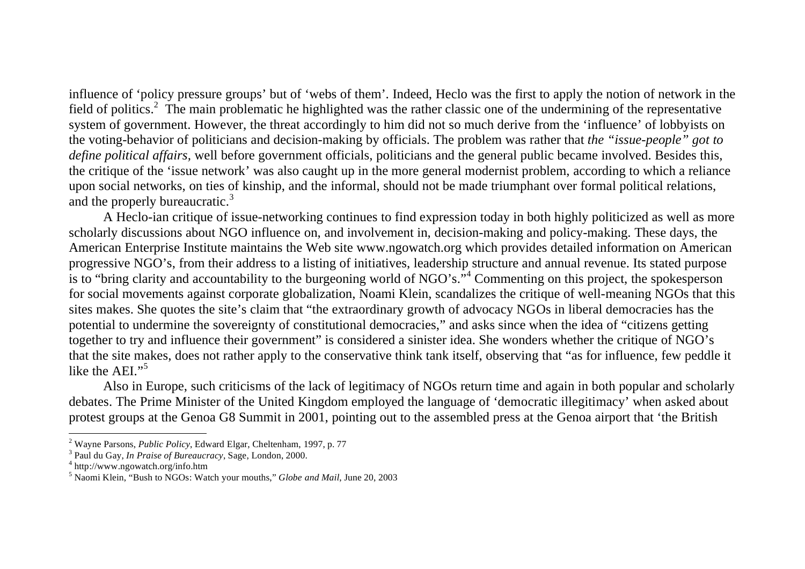influence of 'policy pressure groups' but of 'webs of them'. Indeed, Heclo was the first to apply the notion of network in the field of politics.<sup>2</sup> The main problematic he highlighted was the rather classic one of the undermining of the representative system of government. However, the threat accordingly to him did not so much derive from the 'influence' of lobbyists on the voting-behavior of politicians and decision-making by officials. The problem was rather that *the "issue-people" got to define political affairs,* well before government officials, politicians and the general public became involved. Besides this, the critique of the 'issue network' was also caught up in the more general modernist problem, according to which a reliance upon social networks, on ties of kinship, and the informal, should not be made triumphant over formal political relations, and the properly bureaucratic.<sup>3</sup>

A Heclo-ian critique of issue-networking continues to find expression today in both highly politicized as well as more scholarly discussions about NGO influence on, and involvement in, decision-making and policy-making. These days, the American Enterprise Institute maintains the Web site www.ngowatch.org which provides detailed information on American progressive NGO's, from their address to a listing of initiatives, leadership structure and annual revenue. Its stated purpose is to "bring clarity and accountability to the burgeoning world of NGO's."4 Commenting on this project, the spokesperson for social movements against corporate globalization, Noami Klein, scandalizes the critique of well-meaning NGOs that this sites makes. She quotes the site's claim that "the extraordinary growth of advocacy NGOs in liberal democracies has the potential to undermine the sovereignty of constitutional democracies," and asks since when the idea of "citizens getting together to try and influence their government" is considered a sinister idea. She wonders whether the critique of NGO's that the site makes, does not rather apply to the conservative think tank itself, observing that "as for influence, few peddle it like the AEI."<sup>5</sup>

Also in Europe, such criticisms of the lack of legitimacy of NGOs return time and again in both popular and scholarly debates. The Prime Minister of the United Kingdom employed the language of 'democratic illegitimacy' when asked about protest groups at the Genoa G8 Summit in 2001, pointing out to the assembled press at the Genoa airport that 'the British

<sup>2</sup> Wayne Parsons, *Public Policy*, Edward Elgar, Cheltenham, 1997, p. 77 3 Paul du Gay, *In Praise of Bureaucracy*, Sage, London, 2000. 4 http://www.ngowatch.org/info.htm

<sup>5</sup> Naomi Klein, "Bush to NGOs: Watch your mouths," *Globe and Mail*, June 20, 2003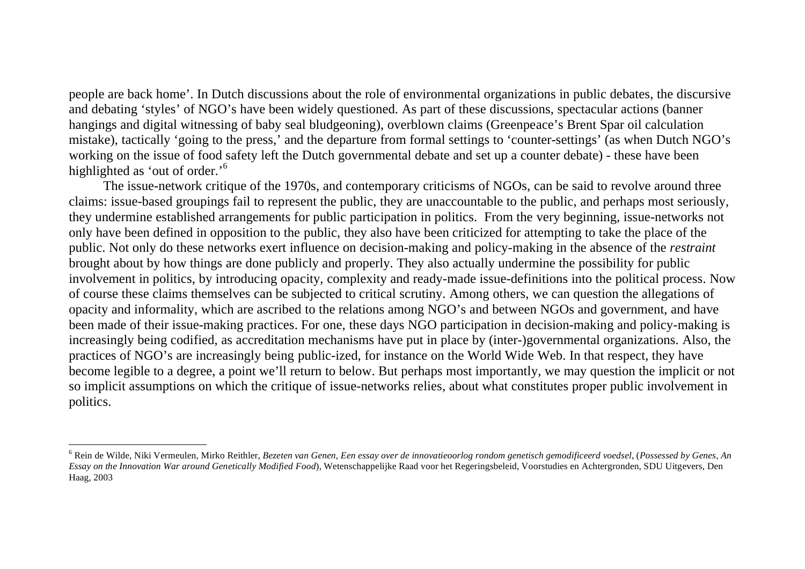people are back home'. In Dutch discussions about the role of environmental organizations in public debates, the discursive and debating 'styles' of NGO's have been widely questioned. As part of these discussions, spectacular actions (banner hangings and digital witnessing of baby seal bludgeoning), overblown claims (Greenpeace's Brent Spar oil calculation mistake), tactically 'going to the press,' and the departure from formal settings to 'counter-settings' (as when Dutch NGO's working on the issue of food safety left the Dutch governmental debate and set up a counter debate) - these have been highlighted as 'out of order.'<sup>6</sup>

The issue-network critique of the 1970s, and contemporary criticisms of NGOs, can be said to revolve around three claims: issue-based groupings fail to represent the public, they are unaccountable to the public, and perhaps most seriously, they undermine established arrangements for public participation in politics. From the very beginning, issue-networks not only have been defined in opposition to the public, they also have been criticized for attempting to take the place of the public. Not only do these networks exert influence on decision-making and policy-making in the absence of the *restraint* brought about by how things are done publicly and properly. They also actually undermine the possibility for public involvement in politics, by introducing opacity, complexity and ready-made issue-definitions into the political process. Now of course these claims themselves can be subjected to critical scrutiny. Among others, we can question the allegations of opacity and informality, which are ascribed to the relations among NGO's and between NGOs and government, and have been made of their issue-making practices. For one, these days NGO participation in decision-making and policy-making is increasingly being codified, as accreditation mechanisms have put in place by (inter-)governmental organizations. Also, the practices of NGO's are increasingly being public-ized, for instance on the World Wide Web. In that respect, they have become legible to a degree, a point we'll return to below. But perhaps most importantly, we may question the implicit or not so implicit assumptions on which the critique of issue-networks relies, about what constitutes proper public involvement in politics.

<sup>6</sup> Rein de Wilde, Niki Vermeulen, Mirko Reithler, *Bezeten van Genen, Een essay over de innovatieoorlog rondom genetisch gemodificeerd voedsel*, (*Possessed by Genes, An Essay on the Innovation War around Genetically Modified Food*), Wetenschappelijke Raad voor het Regeringsbeleid, Voorstudies en Achtergronden, SDU Uitgevers, Den Haag, 2003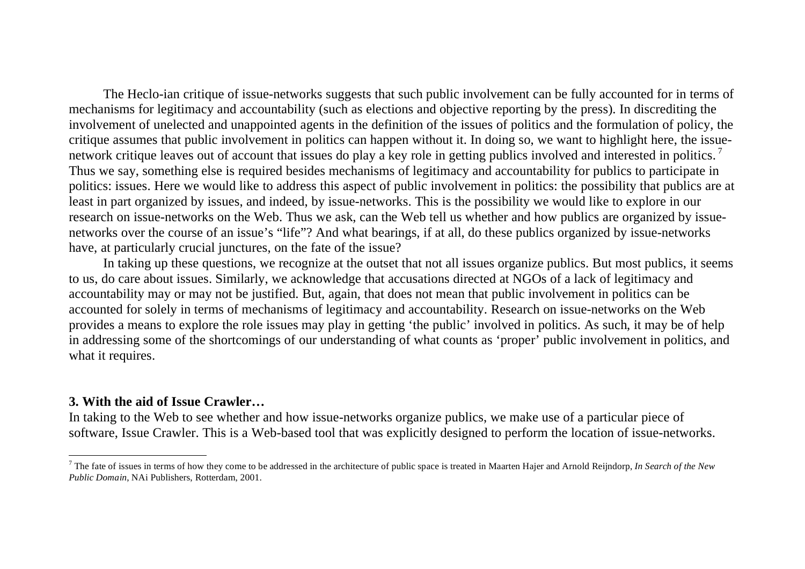The Heclo-ian critique of issue-networks suggests that such public involvement can be fully accounted for in terms of mechanisms for legitimacy and accountability (such as elections and objective reporting by the press). In discrediting the involvement of unelected and unappointed agents in the definition of the issues of politics and the formulation of policy, the critique assumes that public involvement in politics can happen without it. In doing so, we want to highlight here, the issuenetwork critique leaves out of account that issues do play a key role in getting publics involved and interested in politics.<sup>7</sup> Thus we say, something else is required besides mechanisms of legitimacy and accountability for publics to participate in politics: issues. Here we would like to address this aspect of public involvement in politics: the possibility that publics are at least in part organized by issues, and indeed, by issue-networks. This is the possibility we would like to explore in our research on issue-networks on the Web. Thus we ask, can the Web tell us whether and how publics are organized by issuenetworks over the course of an issue's "life"? And what bearings, if at all, do these publics organized by issue-networks have, at particularly crucial junctures, on the fate of the issue?

In taking up these questions, we recognize at the outset that not all issues organize publics. But most publics, it seems to us, do care about issues. Similarly, we acknowledge that accusations directed at NGOs of a lack of legitimacy and accountability may or may not be justified. But, again, that does not mean that public involvement in politics can be accounted for solely in terms of mechanisms of legitimacy and accountability. Research on issue-networks on the Web provides a means to explore the role issues may play in getting 'the public' involved in politics. As such, it may be of help in addressing some of the shortcomings of our understanding of what counts as 'proper' public involvement in politics, and what it requires.

#### **3. With the aid of Issue Crawler…**

In taking to the Web to see whether and how issue-networks organize publics, we make use of a particular piece of software, Issue Crawler. This is a Web-based tool that was explicitly designed to perform the location of issue-networks.

<sup>7</sup> The fate of issues in terms of how they come to be addressed in the architecture of public space is treated in Maarten Hajer and Arnold Reijndorp, *In Search of the New Public Domain*, NAi Publishers, Rotterdam, 2001.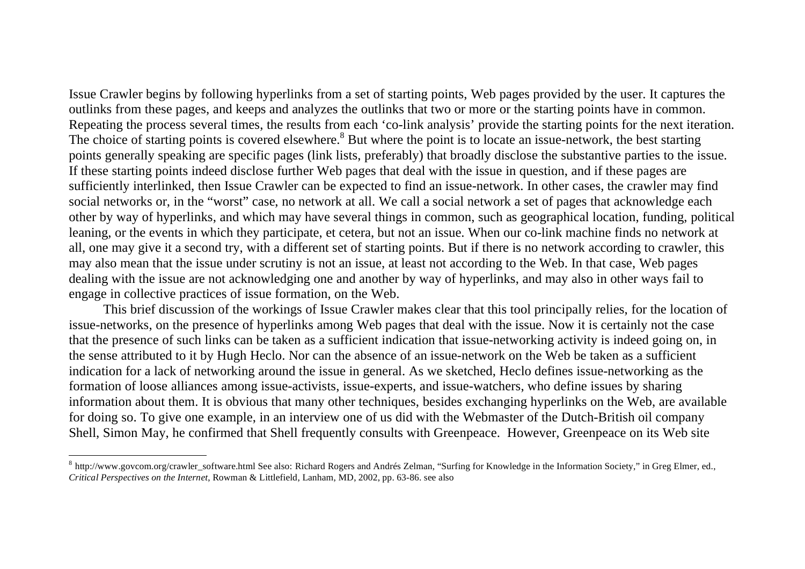Issue Crawler begins by following hyperlinks from a set of starting points, Web pages provided by the user. It captures the outlinks from these pages, and keeps and analyzes the outlinks that two or more or the starting points have in common. Repeating the process several times, the results from each 'co-link analysis' provide the starting points for the next iteration. The choice of starting points is covered elsewhere.<sup>8</sup> But where the point is to locate an issue-network, the best starting points generally speaking are specific pages (link lists, preferably) that broadly disclose the substantive parties to the issue. If these starting points indeed disclose further Web pages that deal with the issue in question, and if these pages are sufficiently interlinked, then Issue Crawler can be expected to find an issue-network. In other cases, the crawler may find social networks or, in the "worst" case, no network at all. We call a social network a set of pages that acknowledge each other by way of hyperlinks, and which may have several things in common, such as geographical location, funding, political leaning, or the events in which they participate, et cetera, but not an issue. When our co-link machine finds no network at all, one may give it a second try, with a different set of starting points. But if there is no network according to crawler, this may also mean that the issue under scrutiny is not an issue, at least not according to the Web. In that case, Web pages dealing with the issue are not acknowledging one and another by way of hyperlinks, and may also in other ways fail to engage in collective practices of issue formation, on the Web.

 This brief discussion of the workings of Issue Crawler makes clear that this tool principally relies, for the location of issue-networks, on the presence of hyperlinks among Web pages that deal with the issue. Now it is certainly not the case that the presence of such links can be taken as a sufficient indication that issue-networking activity is indeed going on, in the sense attributed to it by Hugh Heclo. Nor can the absence of an issue-network on the Web be taken as a sufficient indication for a lack of networking around the issue in general. As we sketched, Heclo defines issue-networking as the formation of loose alliances among issue-activists, issue-experts, and issue-watchers, who define issues by sharing information about them. It is obvious that many other techniques, besides exchanging hyperlinks on the Web, are available for doing so. To give one example, in an interview one of us did with the Webmaster of the Dutch-British oil company Shell, Simon May, he confirmed that Shell frequently consults with Greenpeace. However, Greenpeace on its Web site

 $^8$  http://www.govcom.org/crawler\_software.html See also: Richard Rogers and Andrés Zelman, "Surfing for Knowledge in the Information Society," in Greg Elmer, ed., *Critical Perspectives on the Internet*, Rowman & Littlefield, Lanham, MD, 2002, pp. 63-86. see also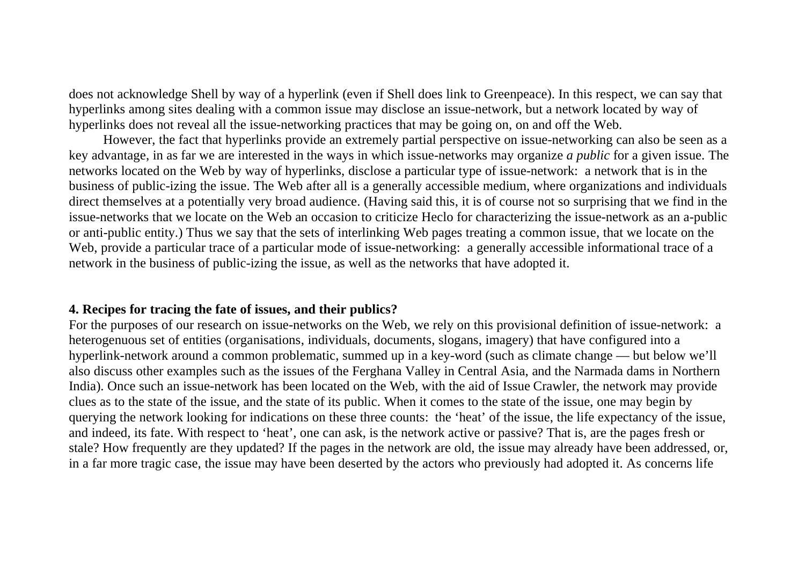does not acknowledge Shell by way of a hyperlink (even if Shell does link to Greenpeace). In this respect, we can say that hyperlinks among sites dealing with a common issue may disclose an issue-network, but a network located by way of hyperlinks does not reveal all the issue-networking practices that may be going on, on and off the Web.

However, the fact that hyperlinks provide an extremely partial perspective on issue-networking can also be seen as a key advantage, in as far we are interested in the ways in which issue-networks may organize *a public* for a given issue. The networks located on the Web by way of hyperlinks, disclose a particular type of issue-network: a network that is in the business of public-izing the issue. The Web after all is a generally accessible medium, where organizations and individuals direct themselves at a potentially very broad audience. (Having said this, it is of course not so surprising that we find in the issue-networks that we locate on the Web an occasion to criticize Heclo for characterizing the issue-network as an a-public or anti-public entity.) Thus we say that the sets of interlinking Web pages treating a common issue, that we locate on the Web, provide a particular trace of a particular mode of issue-networking: a generally accessible informational trace of a network in the business of public-izing the issue, as well as the networks that have adopted it.

### **4. Recipes for tracing the fate of issues, and their publics?**

For the purposes of our research on issue-networks on the Web, we rely on this provisional definition of issue-network: a heterogenuous set of entities (organisations, individuals, documents, slogans, imagery) that have configured into a hyperlink-network around a common problematic, summed up in a key-word (such as climate change — but below we'll also discuss other examples such as the issues of the Ferghana Valley in Central Asia, and the Narmada dams in Northern India). Once such an issue-network has been located on the Web, with the aid of Issue Crawler, the network may provide clues as to the state of the issue, and the state of its public. When it comes to the state of the issue, one may begin by querying the network looking for indications on these three counts: the 'heat' of the issue, the life expectancy of the issue, and indeed, its fate. With respect to 'heat', one can ask, is the network active or passive? That is, are the pages fresh or stale? How frequently are they updated? If the pages in the network are old, the issue may already have been addressed, or, in a far more tragic case, the issue may have been deserted by the actors who previously had adopted it. As concerns life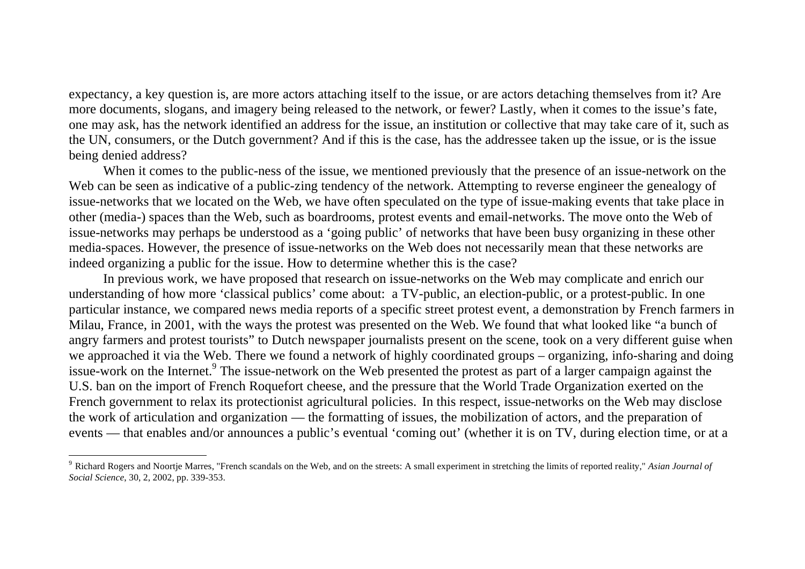expectancy, a key question is, are more actors attaching itself to the issue, or are actors detaching themselves from it? Are more documents, slogans, and imagery being released to the network, or fewer? Lastly, when it comes to the issue's fate, one may ask, has the network identified an address for the issue, an institution or collective that may take care of it, such as the UN, consumers, or the Dutch government? And if this is the case, has the addressee taken up the issue, or is the issue being denied address?

When it comes to the public-ness of the issue, we mentioned previously that the presence of an issue-network on the Web can be seen as indicative of a public-zing tendency of the network. Attempting to reverse engineer the genealogy of issue-networks that we located on the Web, we have often speculated on the type of issue-making events that take place in other (media-) spaces than the Web, such as boardrooms, protest events and email-networks. The move onto the Web of issue-networks may perhaps be understood as a 'going public' of networks that have been busy organizing in these other media-spaces. However, the presence of issue-networks on the Web does not necessarily mean that these networks are indeed organizing a public for the issue. How to determine whether this is the case?

In previous work, we have proposed that research on issue-networks on the Web may complicate and enrich our understanding of how more 'classical publics' come about: a TV-public, an election-public, or a protest-public. In one particular instance, we compared news media reports of a specific street protest event, a demonstration by French farmers in Milau, France, in 2001, with the ways the protest was presented on the Web. We found that what looked like "a bunch of angry farmers and protest tourists" to Dutch newspaper journalists present on the scene, took on a very different guise when we approached it via the Web. There we found a network of highly coordinated groups – organizing, info-sharing and doing issue-work on the Internet.<sup>9</sup> The issue-network on the Web presented the protest as part of a larger campaign against the U.S. ban on the import of French Roquefort cheese, and the pressure that the World Trade Organization exerted on the French government to relax its protectionist agricultural policies. In this respect, issue-networks on the Web may disclose the work of articulation and organization — the formatting of issues, the mobilization of actors, and the preparation of events — that enables and/or announces a public's eventual 'coming out' (whether it is on TV, during election time, or at a

<sup>9</sup> Richard Rogers and Noortje Marres, "French scandals on the Web, and on the streets: A small experiment in stretching the limits of reported reality," *Asian Journal of Social Science*, 30, 2, 2002, pp. 339-353.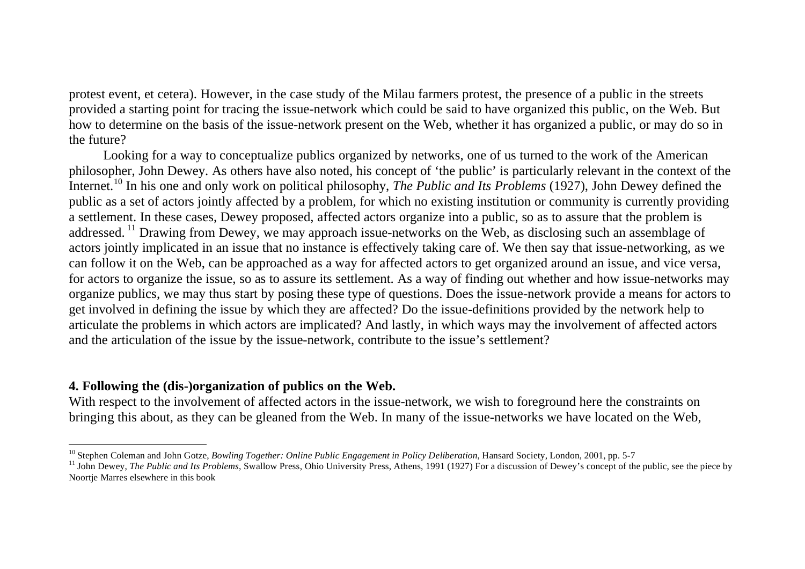protest event, et cetera). However, in the case study of the Milau farmers protest, the presence of a public in the streets provided a starting point for tracing the issue-network which could be said to have organized this public, on the Web. But how to determine on the basis of the issue-network present on the Web, whether it has organized a public, or may do so in the future?

Looking for a way to conceptualize publics organized by networks, one of us turned to the work of the American philosopher, John Dewey. As others have also noted, his concept of 'the public' is particularly relevant in the context of the Internet.10 In his one and only work on political philosophy, *The Public and Its Problems* (1927), John Dewey defined the public as a set of actors jointly affected by a problem, for which no existing institution or community is currently providing a settlement. In these cases, Dewey proposed, affected actors organize into a public, so as to assure that the problem is addressed.<sup>11</sup> Drawing from Dewey, we may approach issue-networks on the Web, as disclosing such an assemblage of actors jointly implicated in an issue that no instance is effectively taking care of. We then say that issue-networking, as we can follow it on the Web, can be approached as a way for affected actors to get organized around an issue, and vice versa, for actors to organize the issue, so as to assure its settlement. As a way of finding out whether and how issue-networks may organize publics, we may thus start by posing these type of questions. Does the issue-network provide a means for actors to get involved in defining the issue by which they are affected? Do the issue-definitions provided by the network help to articulate the problems in which actors are implicated? And lastly, in which ways may the involvement of affected actors and the articulation of the issue by the issue-network, contribute to the issue's settlement?

# **4. Following the (dis-)organization of publics on the Web.**

With respect to the involvement of affected actors in the issue-network, we wish to foreground here the constraints on bringing this about, as they can be gleaned from the Web. In many of the issue-networks we have located on the Web,

<sup>&</sup>lt;sup>10</sup> Stephen Coleman and John Gotze, *Bowling Together: Online Public Engagement in Policy Deliberation*, Hansard Society, London, 2001, pp. 5-7

<sup>&</sup>lt;sup>11</sup> John Dewey, *The Public and Its Problems*, Swallow Press, Ohio University Press, Athens, 1991 (1927) For a discussion of Dewey's concept of the public, see the piece by Noortje Marres elsewhere in this book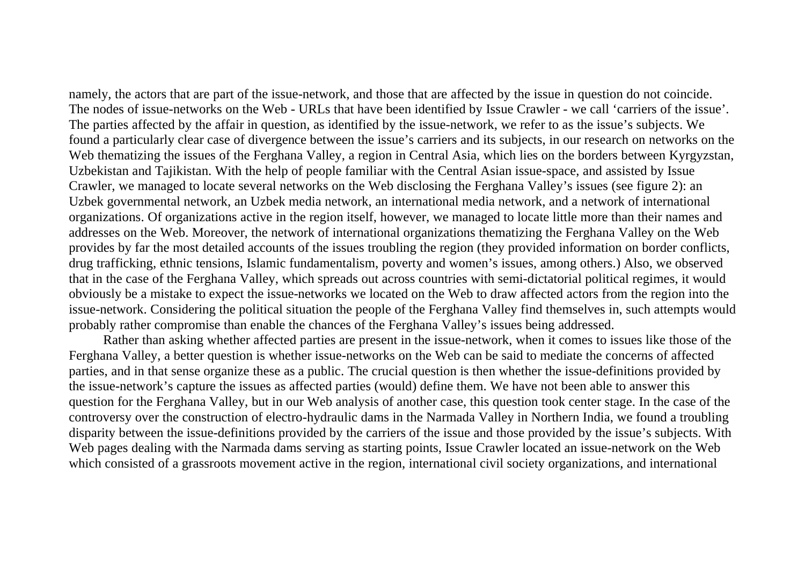namely, the actors that are part of the issue-network, and those that are affected by the issue in question do not coincide. The nodes of issue-networks on the Web - URLs that have been identified by Issue Crawler - we call 'carriers of the issue'. The parties affected by the affair in question, as identified by the issue-network, we refer to as the issue's subjects. We found a particularly clear case of divergence between the issue's carriers and its subjects, in our research on networks on the Web thematizing the issues of the Ferghana Valley, a region in Central Asia, which lies on the borders between Kyrgyzstan, Uzbekistan and Tajikistan. With the help of people familiar with the Central Asian issue-space, and assisted by Issue Crawler, we managed to locate several networks on the Web disclosing the Ferghana Valley's issues (see figure 2): an Uzbek governmental network, an Uzbek media network, an international media network, and a network of international organizations. Of organizations active in the region itself, however, we managed to locate little more than their names and addresses on the Web. Moreover, the network of international organizations thematizing the Ferghana Valley on the Web provides by far the most detailed accounts of the issues troubling the region (they provided information on border conflicts, drug trafficking, ethnic tensions, Islamic fundamentalism, poverty and women's issues, among others.) Also, we observed that in the case of the Ferghana Valley, which spreads out across countries with semi-dictatorial political regimes, it would obviously be a mistake to expect the issue-networks we located on the Web to draw affected actors from the region into the issue-network. Considering the political situation the people of the Ferghana Valley find themselves in, such attempts would probably rather compromise than enable the chances of the Ferghana Valley's issues being addressed.

 Rather than asking whether affected parties are present in the issue-network, when it comes to issues like those of the Ferghana Valley, a better question is whether issue-networks on the Web can be said to mediate the concerns of affected parties, and in that sense organize these as a public. The crucial question is then whether the issue-definitions provided by the issue-network's capture the issues as affected parties (would) define them. We have not been able to answer this question for the Ferghana Valley, but in our Web analysis of another case, this question took center stage. In the case of the controversy over the construction of electro-hydraulic dams in the Narmada Valley in Northern India, we found a troubling disparity between the issue-definitions provided by the carriers of the issue and those provided by the issue's subjects. With Web pages dealing with the Narmada dams serving as starting points, Issue Crawler located an issue-network on the Web which consisted of a grassroots movement active in the region, international civil society organizations, and international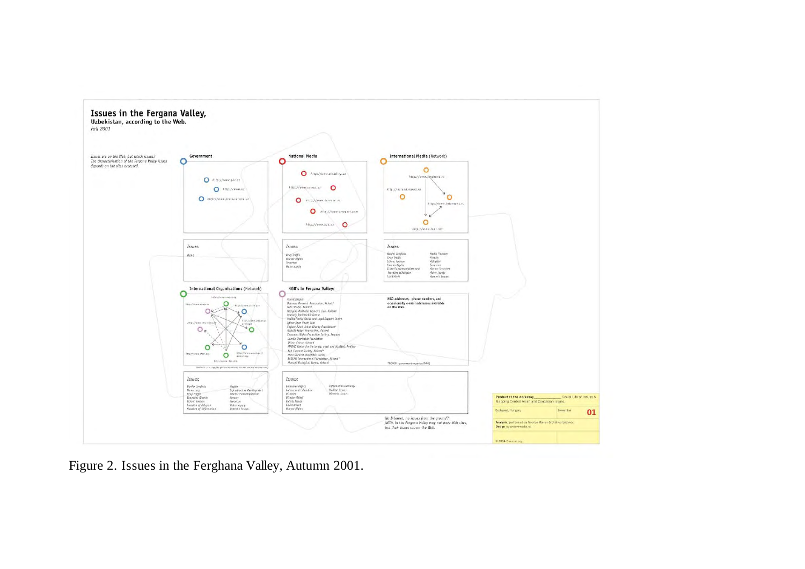

Figure 2. Issues in the Ferghana Valley, Autumn 2001.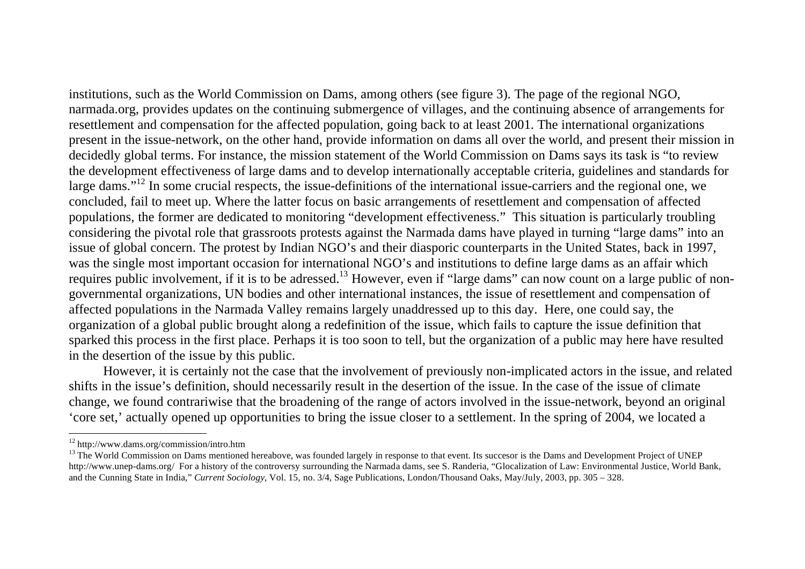institutions, such as the World Commission on Dams, among others (see figure 3). The page of the regional NGO, narmada.org, provides updates on the continuing submergence of villages, and the continuing absence of arrangements for resettlement and compensation for the affected population, going back to at least 2001. The international organizations present in the issue-network, on the other hand, provide information on dams all over the world, and present their mission in decidedly global terms. For instance, the mission statement of the World Commission on Dams says its task is "to review the development effectiveness of large dams and to develop internationally acceptable criteria, guidelines and standards for large dams."<sup>12</sup> In some crucial respects, the issue-definitions of the international issue-carriers and the regional one, we concluded, fail to meet up. Where the latter focus on basic arrangements of resettlement and compensation of affected populations, the former are dedicated to monitoring "development effectiveness." This situation is particularly troubling considering the pivotal role that grassroots protests against the Narmada dams have played in turning "large dams" into an issue of global concern. The protest by Indian NGO's and their diasporic counterparts in the United States, back in 1997, was the single most important occasion for international NGO's and institutions to define large dams as an affair which requires public involvement, if it is to be adressed.<sup>13</sup> However, even if "large dams" can now count on a large public of nongovernmental organizations, UN bodies and other international instances, the issue of resettlement and compensation of affected populations in the Narmada Valley remains largely unaddressed up to this day. Here, one could say, the organization of a global public brought along a redefinition of the issue, which fails to capture the issue definition that sparked this process in the first place. Perhaps it is too soon to tell, but the organization of a public may here have resulted in the desertion of the issue by this public.

 However, it is certainly not the case that the involvement of previously non-implicated actors in the issue, and related shifts in the issue's definition, should necessarily result in the desertion of the issue. In the case of the issue of climate change, we found contrariwise that the broadening of the range of actors involved in the issue-network, beyond an original 'core set,' actually opened up opportunities to bring the issue closer to a settlement. In the spring of 2004, we located a

<sup>12</sup> http://www.dams.org/commission/intro.htm

<sup>&</sup>lt;sup>13</sup> The World Commission on Dams mentioned hereabove, was founded largely in response to that event. Its succesor is the Dams and Development Project of UNEP http://www.unep-dams.org/ For a history of the controversy surrounding the Narmada dams, see S. Randeria, "Glocalization of Law: Environmental Justice, World Bank, and the Cunning State in India," *Current Sociology*, Vol. 15, no. 3/4, Sage Publications, London/Thousand Oaks, May/July, 2003, pp. 305 – 328.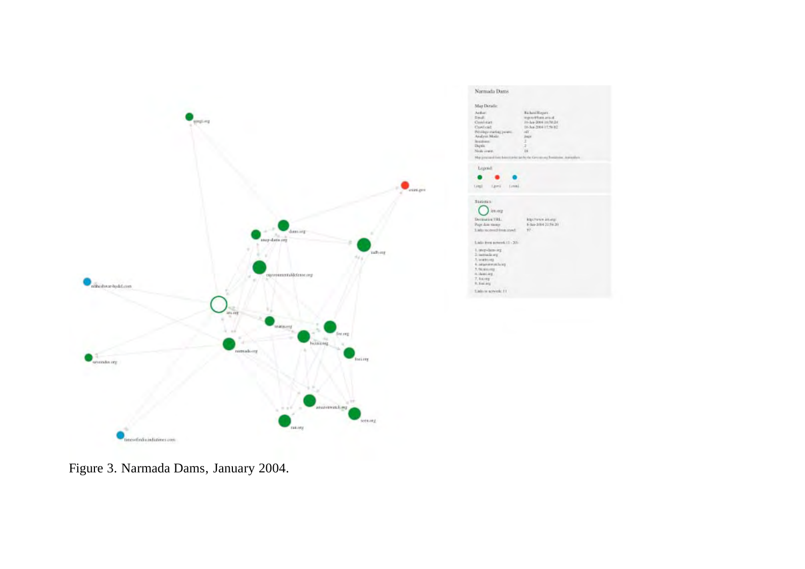



Figure 3. Narmada Dams, January 2004.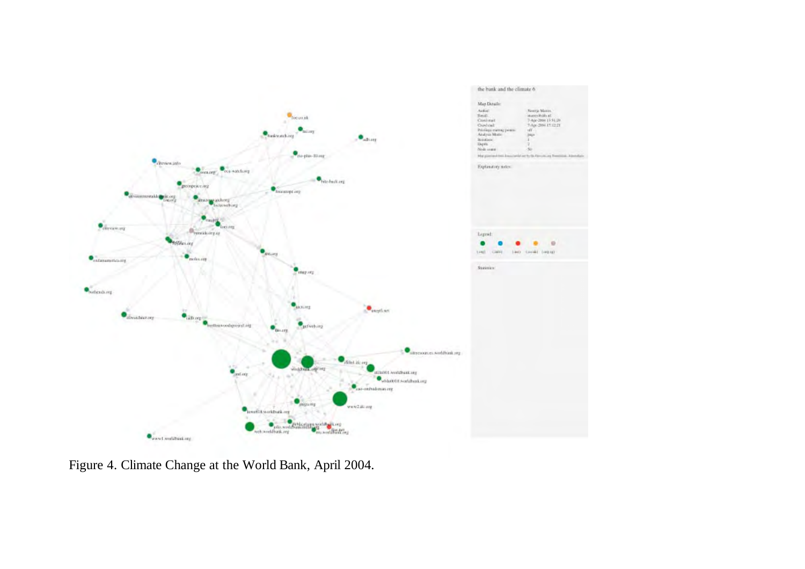

Figure 4. Climate Change at the World Bank, April 2004.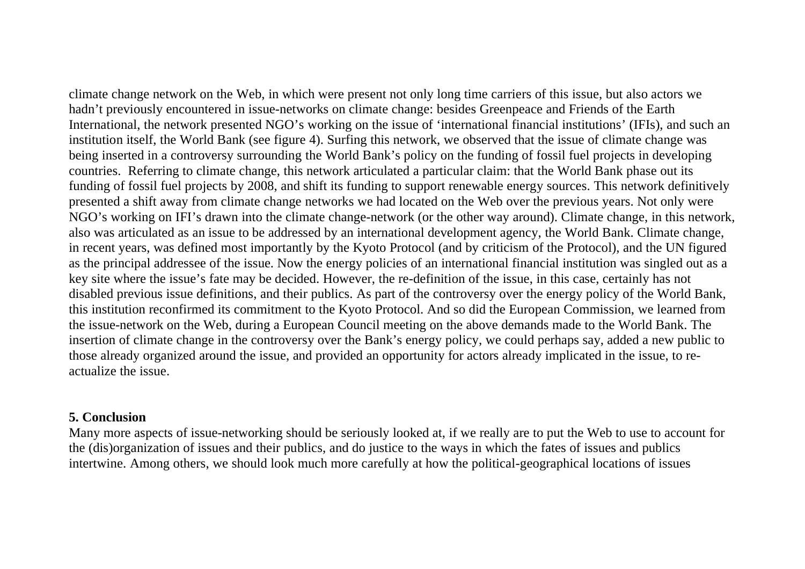climate change network on the Web, in which were present not only long time carriers of this issue, but also actors we hadn't previously encountered in issue-networks on climate change: besides Greenpeace and Friends of the Earth International, the network presented NGO's working on the issue of 'international financial institutions' (IFIs), and such an institution itself, the World Bank (see figure 4). Surfing this network, we observed that the issue of climate change was being inserted in a controversy surrounding the World Bank's policy on the funding of fossil fuel projects in developing countries. Referring to climate change, this network articulated a particular claim: that the World Bank phase out its funding of fossil fuel projects by 2008, and shift its funding to support renewable energy sources. This network definitively presented a shift away from climate change networks we had located on the Web over the previous years. Not only were NGO's working on IFI's drawn into the climate change-network (or the other way around). Climate change, in this network, also was articulated as an issue to be addressed by an international development agency, the World Bank. Climate change, in recent years, was defined most importantly by the Kyoto Protocol (and by criticism of the Protocol), and the UN figured as the principal addressee of the issue. Now the energy policies of an international financial institution was singled out as a key site where the issue's fate may be decided. However, the re-definition of the issue, in this case, certainly has not disabled previous issue definitions, and their publics. As part of the controversy over the energy policy of the World Bank, this institution reconfirmed its commitment to the Kyoto Protocol. And so did the European Commission, we learned from the issue-network on the Web, during a European Council meeting on the above demands made to the World Bank. The insertion of climate change in the controversy over the Bank's energy policy, we could perhaps say, added a new public to those already organized around the issue, and provided an opportunity for actors already implicated in the issue, to reactualize the issue.

# **5. Conclusion**

Many more aspects of issue-networking should be seriously looked at, if we really are to put the Web to use to account for the (dis)organization of issues and their publics, and do justice to the ways in which the fates of issues and publics intertwine. Among others, we should look much more carefully at how the political-geographical locations of issues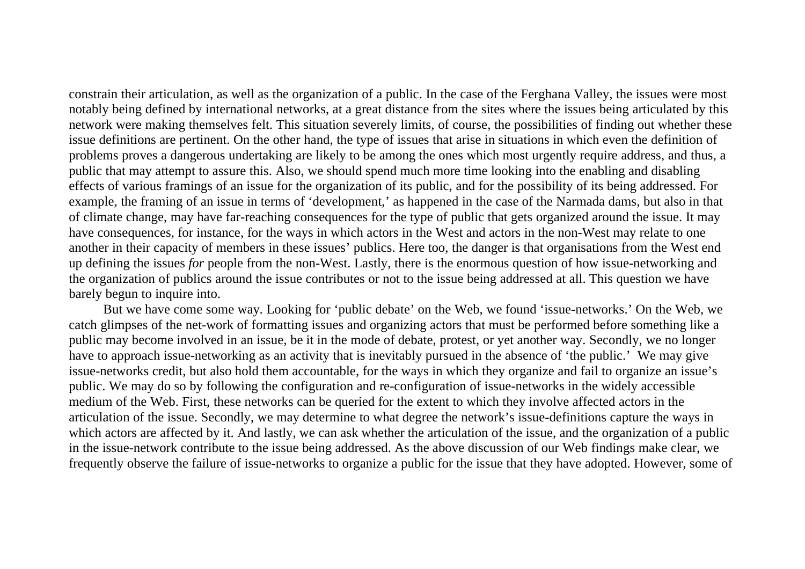constrain their articulation, as well as the organization of a public. In the case of the Ferghana Valley, the issues were most notably being defined by international networks, at a great distance from the sites where the issues being articulated by this network were making themselves felt. This situation severely limits, of course, the possibilities of finding out whether these issue definitions are pertinent. On the other hand, the type of issues that arise in situations in which even the definition of problems proves a dangerous undertaking are likely to be among the ones which most urgently require address, and thus, a public that may attempt to assure this. Also, we should spend much more time looking into the enabling and disabling effects of various framings of an issue for the organization of its public, and for the possibility of its being addressed. For example, the framing of an issue in terms of 'development,' as happened in the case of the Narmada dams, but also in that of climate change, may have far-reaching consequences for the type of public that gets organized around the issue. It may have consequences, for instance, for the ways in which actors in the West and actors in the non-West may relate to one another in their capacity of members in these issues' publics. Here too, the danger is that organisations from the West end up defining the issues *for* people from the non-West. Lastly, there is the enormous question of how issue-networking and the organization of publics around the issue contributes or not to the issue being addressed at all. This question we have barely begun to inquire into.

But we have come some way. Looking for 'public debate' on the Web, we found 'issue-networks.' On the Web, we catch glimpses of the net-work of formatting issues and organizing actors that must be performed before something like a public may become involved in an issue, be it in the mode of debate, protest, or yet another way. Secondly, we no longer have to approach issue-networking as an activity that is inevitably pursued in the absence of 'the public.' We may give issue-networks credit, but also hold them accountable, for the ways in which they organize and fail to organize an issue's public. We may do so by following the configuration and re-configuration of issue-networks in the widely accessible medium of the Web. First, these networks can be queried for the extent to which they involve affected actors in the articulation of the issue. Secondly, we may determine to what degree the network's issue-definitions capture the ways in which actors are affected by it. And lastly, we can ask whether the articulation of the issue, and the organization of a public in the issue-network contribute to the issue being addressed. As the above discussion of our Web findings make clear, we frequently observe the failure of issue-networks to organize a public for the issue that they have adopted. However, some of